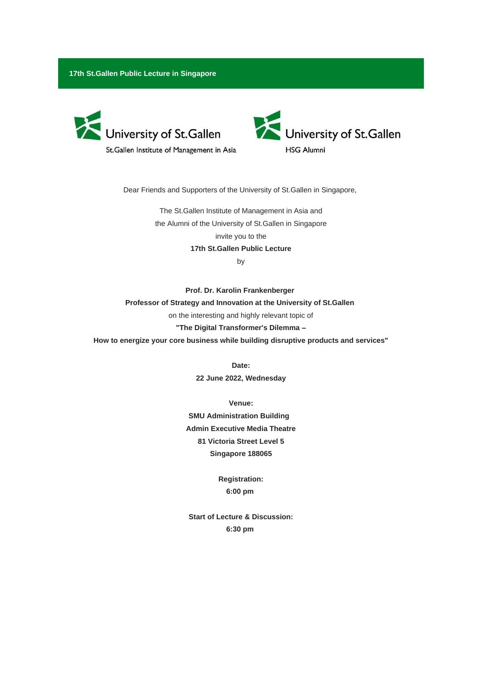**17th St.Gallen Public Lecture in Singapore**



St.Gallen Institute of Management in Asia



Dear Friends and Supporters of the University of St.Gallen in Singapore,

The St.Gallen Institute of Management in Asia and the Alumni of the University of St.Gallen in Singapore invite you to the **17th St.Gallen Public Lecture** 

by

**Prof. Dr. Karolin Frankenberger Professor of Strategy and Innovation at the University of St.Gallen** on the interesting and highly relevant topic of **"The Digital Transformer's Dilemma – How to energize your core business while building disruptive products and services"**

**Date:**

**22 June 2022, Wednesday**

**Venue: SMU Administration Building Admin Executive Media Theatre 81 Victoria Street Level 5 Singapore 188065**

> **Registration: 6:00 pm**

**Start of Lecture & Discussion: 6:30 pm**